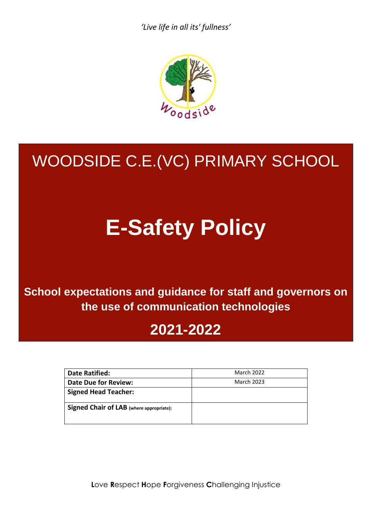*'Live life in all its' fullness'*



# WOODSIDE C.E.(VC) PRIMARY SCHOOL

# **E-Safety Policy**

**School expectations and guidance for staff and governors on the use of communication technologies**

## **2021-2022**

| <b>Date Ratified:</b>                           | <b>March 2022</b> |
|-------------------------------------------------|-------------------|
| <b>Date Due for Review:</b>                     | <b>March 2023</b> |
| <b>Signed Head Teacher:</b>                     |                   |
| <b>Signed Chair of LAB</b> (where appropriate): |                   |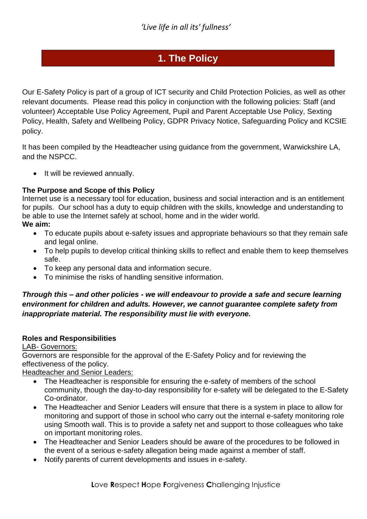## **1. The Policy**

Our E-Safety Policy is part of a group of ICT security and Child Protection Policies, as well as other relevant documents. Please read this policy in conjunction with the following policies: Staff (and volunteer) Acceptable Use Policy Agreement, Pupil and Parent Acceptable Use Policy, Sexting Policy, Health, Safety and Wellbeing Policy, GDPR Privacy Notice, Safeguarding Policy and KCSIE policy.

It has been compiled by the Headteacher using guidance from the government, Warwickshire LA, and the NSPCC.

 $\bullet$  It will be reviewed annually.

#### **The Purpose and Scope of this Policy**

Internet use is a necessary tool for education, business and social interaction and is an entitlement for pupils. Our school has a duty to equip children with the skills, knowledge and understanding to be able to use the Internet safely at school, home and in the wider world.

#### **We aim:**

- To educate pupils about e-safety issues and appropriate behaviours so that they remain safe and legal online.
- To help pupils to develop critical thinking skills to reflect and enable them to keep themselves safe.
- To keep any personal data and information secure.
- To minimise the risks of handling sensitive information.

#### *Through this – and other policies - we will endeavour to provide a safe and secure learning environment for children and adults. However, we cannot guarantee complete safety from inappropriate material. The responsibility must lie with everyone.*

#### **Roles and Responsibilities**

#### LAB- Governors:

Governors are responsible for the approval of the E-Safety Policy and for reviewing the effectiveness of the policy.

#### Headteacher and Senior Leaders:

- The Headteacher is responsible for ensuring the e-safety of members of the school community, though the day-to-day responsibility for e-safety will be delegated to the E-Safety Co-ordinator.
- The Headteacher and Senior Leaders will ensure that there is a system in place to allow for monitoring and support of those in school who carry out the internal e-safety monitoring role using Smooth wall. This is to provide a safety net and support to those colleagues who take on important monitoring roles.
- The Headteacher and Senior Leaders should be aware of the procedures to be followed in the event of a serious e-safety allegation being made against a member of staff.
- Notify parents of current developments and issues in e-safety.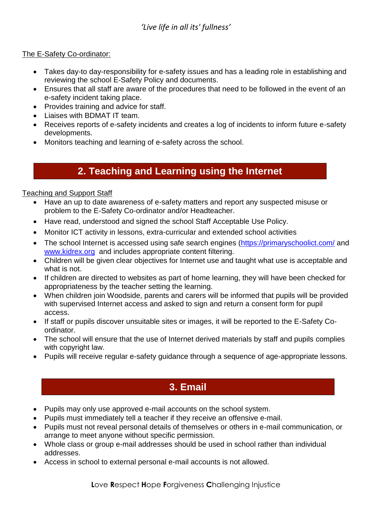#### The E-Safety Co-ordinator:

- Takes day-to day-responsibility for e-safety issues and has a leading role in establishing and reviewing the school E-Safety Policy and documents.
- Ensures that all staff are aware of the procedures that need to be followed in the event of an e-safety incident taking place.
- Provides training and advice for staff.
- Liaises with BDMAT IT team.
- Receives reports of e-safety incidents and creates a log of incidents to inform future e-safety developments.
- Monitors teaching and learning of e-safety across the school.

## **2. Teaching and Learning using the Internet**

#### Teaching and Support Staff

- Have an up to date awareness of e-safety matters and report any suspected misuse or problem to the E-Safety Co-ordinator and/or Headteacher.
- Have read, understood and signed the school Staff Acceptable Use Policy.
- Monitor ICT activity in lessons, extra-curricular and extended school activities
- The school Internet is accessed using safe search engines [\(https://primaryschoolict.com/](https://primaryschoolict.com/) and [www.kidrex.org](http://www.kidrex.org/) and includes appropriate content filtering.
- Children will be given clear objectives for Internet use and taught what use is acceptable and what is not.
- If children are directed to websites as part of home learning, they will have been checked for appropriateness by the teacher setting the learning.
- When children join Woodside, parents and carers will be informed that pupils will be provided with supervised Internet access and asked to sign and return a consent form for pupil access.
- If staff or pupils discover unsuitable sites or images, it will be reported to the E-Safety Coordinator.
- The school will ensure that the use of Internet derived materials by staff and pupils complies with copyright law.
- Pupils will receive regular e-safety guidance through a sequence of age-appropriate lessons.

## **3. Email**

- Pupils may only use approved e-mail accounts on the school system.
- Pupils must immediately tell a teacher if they receive an offensive e-mail.
- Pupils must not reveal personal details of themselves or others in e-mail communication, or arrange to meet anyone without specific permission.
- Whole class or group e-mail addresses should be used in school rather than individual addresses.
- Access in school to external personal e-mail accounts is not allowed.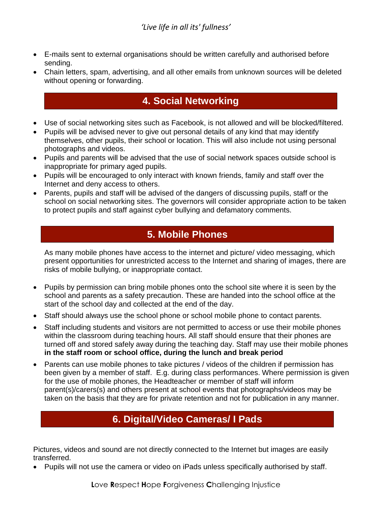#### *'Live life in all its' fullness'*

- E-mails sent to external organisations should be written carefully and authorised before sending.
- Chain letters, spam, advertising, and all other emails from unknown sources will be deleted without opening or forwarding.

## **4. Social Networking**

- Use of social networking sites such as Facebook, is not allowed and will be blocked/filtered.
- Pupils will be advised never to give out personal details of any kind that may identify themselves, other pupils, their school or location. This will also include not using personal photographs and videos.
- Pupils and parents will be advised that the use of social network spaces outside school is inappropriate for primary aged pupils.
- Pupils will be encouraged to only interact with known friends, family and staff over the Internet and deny access to others.
- Parents, pupils and staff will be advised of the dangers of discussing pupils, staff or the school on social networking sites. The governors will consider appropriate action to be taken to protect pupils and staff against cyber bullying and defamatory comments.

## **5. Mobile Phones**

As many mobile phones have access to the internet and picture/ video messaging, which present opportunities for unrestricted access to the Internet and sharing of images, there are risks of mobile bullying, or inappropriate contact.

- Pupils by permission can bring mobile phones onto the school site where it is seen by the school and parents as a safety precaution. These are handed into the school office at the start of the school day and collected at the end of the day.
- Staff should always use the school phone or school mobile phone to contact parents.
- Staff including students and visitors are not permitted to access or use their mobile phones within the classroom during teaching hours. All staff should ensure that their phones are turned off and stored safely away during the teaching day. Staff may use their mobile phones **in the staff room or school office, during the lunch and break period**
- Parents can use mobile phones to take pictures / videos of the children if permission has been given by a member of staff. E.g. during class performances. Where permission is given for the use of mobile phones, the Headteacher or member of staff will inform parent(s)/carers(s) and others present at school events that photographs/videos may be taken on the basis that they are for private retention and not for publication in any manner.

## **6. Digital/Video Cameras/ I Pads**

Pictures, videos and sound are not directly connected to the Internet but images are easily transferred.

Pupils will not use the camera or video on iPads unless specifically authorised by staff.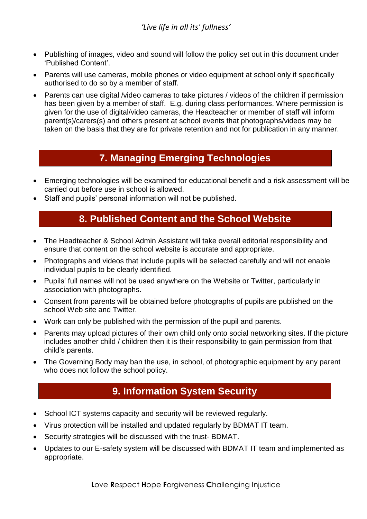- Publishing of images, video and sound will follow the policy set out in this document under 'Published Content'.
- Parents will use cameras, mobile phones or video equipment at school only if specifically authorised to do so by a member of staff.
- Parents can use digital /video cameras to take pictures / videos of the children if permission has been given by a member of staff. E.g. during class performances. Where permission is given for the use of digital/video cameras, the Headteacher or member of staff will inform parent(s)/carers(s) and others present at school events that photographs/videos may be taken on the basis that they are for private retention and not for publication in any manner.

## **7. Managing Emerging Technologies**

- Emerging technologies will be examined for educational benefit and a risk assessment will be carried out before use in school is allowed.
- Staff and pupils' personal information will not be published.

#### **8. Published Content and the School Website**

- The Headteacher & School Admin Assistant will take overall editorial responsibility and ensure that content on the school website is accurate and appropriate.
- Photographs and videos that include pupils will be selected carefully and will not enable individual pupils to be clearly identified.
- Pupils' full names will not be used anywhere on the Website or Twitter, particularly in association with photographs.
- Consent from parents will be obtained before photographs of pupils are published on the school Web site and Twitter.
- Work can only be published with the permission of the pupil and parents.
- Parents may upload pictures of their own child only onto social networking sites. If the picture includes another child / children then it is their responsibility to gain permission from that child's parents.
- The Governing Body may ban the use, in school, of photographic equipment by any parent who does not follow the school policy.

## **9. Information System Security**

- School ICT systems capacity and security will be reviewed regularly.
- Virus protection will be installed and updated regularly by BDMAT IT team.
- Security strategies will be discussed with the trust- BDMAT.
- Updates to our E-safety system will be discussed with BDMAT IT team and implemented as appropriate.